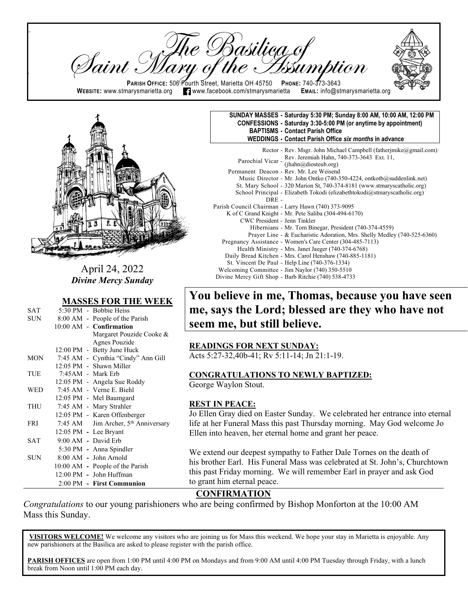Basilieg of<br>of the Issun Taint . **PARISH OFFICE:** 506 Fourth Street, Marietta OH 45750 **PHONE: 740-373-3643**<br>WEBSITE: www.stmarysmarietta.org **T**www.facebook.com/stmarysmarietta EMAIL: info@stmarysmarietta.org  $\blacksquare$  www.facebook.com/stmarysmarietta



 $\mathsf{p}$ 

ll

April 24, 2022 *Divine Mercy Sunday*

#### **MASSES FOR THE WEEK**

| SAT        |                       | 5:30 PM - Bobbie Heiss                          |
|------------|-----------------------|-------------------------------------------------|
| SUN -      |                       | 8:00 AM - People of the Parish                  |
|            |                       | 10:00 AM - Confirmation                         |
|            |                       | Margaret Pouzide Cooke &                        |
|            |                       | Agnes Pouzide                                   |
|            |                       | 12:00 PM - Betty June Huck                      |
| <b>MON</b> |                       | 7:45 AM - Cynthia "Cindy" Ann Gill              |
|            |                       | 12:05 PM - Shawn Miller                         |
| TUE        | $7:45AM$ - Mark Erb   |                                                 |
|            |                       | 12:05 PM - Angela Sue Roddy                     |
| <b>WED</b> |                       | 7:45 AM - Verne E. Biehl                        |
|            |                       | 12:05 PM - Mel Baumgard                         |
| <b>THU</b> |                       | 7:45 AM - Mary Strahler                         |
|            |                       | 12:05 PM - Karen Offenberger                    |
| <b>FRI</b> |                       | 7:45 AM Jim Archer, 5 <sup>th</sup> Anniversary |
|            | 12:05 PM - Lee Bryant |                                                 |
| <b>SAT</b> | $9:00$ AM - David Erb |                                                 |
|            |                       | 5:30 PM - Anna Spindler                         |
| <b>SUN</b> |                       | $8:00$ AM - John Arnold                         |
|            |                       | 10:00 AM - People of the Parish                 |
|            |                       | 12:00 PM - John Huffman                         |
|            |                       | 2:00 PM - First Communion                       |

#### **SUNDAY MASSES - Saturday 5:30 PM; Sunday 8:00 AM, 10:00 AM, 12:00 PM CONFESSIONS - Saturday 3:30-5:00 PM (or anytime by appointment) BAPTISMS - Contact Parish Office WEDDINGS - Contact Parish Office** *six months* **in advance** Rector - Rev. Msgr. John Michael Campbell (fatherimike@gmail.com)

|                              | $R_{\rm CO}$ Rev. $R_{\rm O}$ . Form intended Campoon (Taurei finincia Engineer.com) |
|------------------------------|--------------------------------------------------------------------------------------|
|                              | Parochial Vicar - Rev. Jeremiah Hahn, 740-373-3643 Ext. 11,<br>(jhahn@diosteub.org)  |
|                              |                                                                                      |
|                              | Permanent Deacon - Rev. Mr. Lee Weisend                                              |
|                              | Music Director - Mr. John Ontko (740-350-4224, ontkotb@suddenlink.net)               |
|                              | St. Mary School - 320 Marion St, 740-374-8181 (www.stmaryscatholic.org)              |
|                              | School Principal - Elizabeth Tokodi (elizabethtokodi@stmaryscatholic.org)            |
| $DRE -$                      |                                                                                      |
|                              | Parish Council Chairman - Larry Hawn (740) 373-9095                                  |
|                              | K of C Grand Knight - Mr. Pete Saliba (304-494-6170)                                 |
| CWC President - Jenn Tinkler |                                                                                      |
|                              | Hibernians - Mr. Tom Binegar, President (740-374-4559)                               |
|                              | Prayer Line - & Eucharistic Adoration, Mrs. Shelly Medley (740-525-6360)             |
|                              | Pregnancy Assistance - Women's Care Center (304-485-7113)                            |
|                              | Health Ministry - Mrs. Janet Jaeger (740-374-6768)                                   |
|                              | Daily Bread Kitchen - Mrs. Carol Henshaw (740-885-1181)                              |
|                              | St. Vincent De Paul - Help Line (740-376-1334)                                       |
|                              | Welcoming Committee - Jim Naylor (740) 350-5510                                      |
|                              | Divine Mercy Gift Shop - Barb Ritchie (740) 538-4733                                 |

# **You believe in me, Thomas, because you have seen me, says the Lord; blessed are they who have not seem me, but still believe.**

#### **READINGS FOR NEXT SUNDAY:**

Acts 5:27-32,40b-41; Rv 5:11-14; Jn 21:1-19.

#### **CONGRATULATIONS TO NEWLY BAPTIZED:**

George Waylon Stout.

#### **REST IN PEACE:**

Jo Ellen Gray died on Easter Sunday. We celebrated her entrance into eternal life at her Funeral Mass this past Thursday morning. May God welcome Jo Ellen into heaven, her eternal home and grant her peace.

We extend our deepest sympathy to Father Dale Tornes on the death of his brother Earl. His Funeral Mass was celebrated at St. John's, Churchtown this past Friday morning. We will remember Earl in prayer and ask God to grant him eternal peace.

# **CONFIRMATION**

*Congratulations* to our young parishioners who are being confirmed by Bishop Monforton at the 10:00 AM  Mass this Sunday.

**VISITORS WELCOME!** We welcome any visitors who are joining us for Mass this weekend. We hope your stay in Marietta is enjoyable. Any new parishioners at the Basilica are asked to please register with the parish office. 1  $\mathbf{r}$ 

**PARISH OFFICES** are open from 1:00 PM until 4:00 PM on Mondays and from 9:00 AM until 4:00 PM Tuesday through Friday, with a lunch break from Noon until 1:00 PM each day.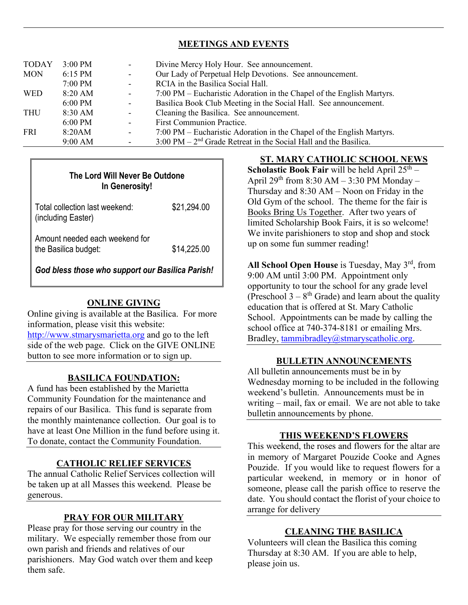# **MEETINGS AND EVENTS**

| <b>TODAY</b> | $3:00$ PM | $\sim 100$        | Divine Mercy Holy Hour. See announcement.                                            |  |
|--------------|-----------|-------------------|--------------------------------------------------------------------------------------|--|
| <b>MON</b>   | 6:15 PM   | $\sim$ 100 $\mu$  | Our Lady of Perpetual Help Devotions. See announcement.                              |  |
|              | 7:00 PM   | $\sim 100$        | RCIA in the Basilica Social Hall.                                                    |  |
| <b>WED</b>   | $8:20$ AM | $\sim$            | 7:00 PM – Eucharistic Adoration in the Chapel of the English Martyrs.                |  |
|              | $6:00$ PM | $\sim 100$        | Basilica Book Club Meeting in the Social Hall. See announcement.                     |  |
| <b>THU</b>   | 8:30 AM   | $\Delta \sim 100$ | Cleaning the Basilica. See announcement.                                             |  |
|              | 6:00 PM   | $\sim$            | First Communion Practice.                                                            |  |
| <b>FRI</b>   | 8:20AM    | $\blacksquare$    | 7:00 PM – Eucharistic Adoration in the Chapel of the English Martyrs.                |  |
|              | 9:00 AM   |                   | $3:00 \text{ PM} - 2^{\text{nd}}$ Grade Retreat in the Social Hall and the Basilica. |  |

| The Lord Will Never Be Outdone<br>In Generosity!       |             |  |  |  |
|--------------------------------------------------------|-------------|--|--|--|
| Total collection last weekend:<br>(including Easter)   | \$21,294.00 |  |  |  |
| Amount needed each weekend for<br>the Basilica budget: | \$14,225.00 |  |  |  |

*God bless those who support our Basilica Parish!*

# **ONLINE GIVING**

Online giving is available at the Basilica. For more information, please visit this website: [http://www.stmarysmarietta.org](http://www.stmarysmarietta.org/) and go to the left side of the web page. Click on the GIVE ONLINE button to see more information or to sign up.

# **BASILICA FOUNDATION:**

A fund has been established by the Marietta Community Foundation for the maintenance and repairs of our Basilica. This fund is separate from the monthly maintenance collection. Our goal is to have at least One Million in the fund before using it. To donate, contact the Community Foundation.

## **CATHOLIC RELIEF SERVICES**

The annual Catholic Relief Services collection will be taken up at all Masses this weekend. Please be generous.

# **PRAY FOR OUR MILITARY**

Please pray for those serving our country in the military. We especially remember those from our own parish and friends and relatives of our parishioners. May God watch over them and keep them safe.

# **ST. MARY CATHOLIC SCHOOL NEWS**

**Scholastic Book Fair** will be held April  $25<sup>th</sup>$  – April  $29^{th}$  from 8:30 AM – 3:30 PM Monday – Thursday and 8:30 AM – Noon on Friday in the Old Gym of the school. The theme for the fair is Books Bring Us Together. After two years of limited Scholarship Book Fairs, it is so welcome! We invite parishioners to stop and shop and stock up on some fun summer reading!

All School Open House is Tuesday, May 3<sup>rd</sup>, from 9:00 AM until 3:00 PM. Appointment only opportunity to tour the school for any grade level (Preschool  $3 - 8$ <sup>th</sup> Grade) and learn about the quality education that is offered at St. Mary Catholic School. Appointments can be made by calling the school office at 740-374-8181 or emailing Mrs. Bradley, [tammibradley@stmaryscatholic.org.](mailto:tammibradley@stmaryscatholic.org)

## **BULLETIN ANNOUNCEMENTS**

All bulletin announcements must be in by Wednesday morning to be included in the following weekend's bulletin. Announcements must be in writing – mail, fax or email. We are not able to take bulletin announcements by phone.

#### **THIS WEEKEND'S FLOWERS**

This weekend, the roses and flowers for the altar are in memory of Margaret Pouzide Cooke and Agnes Pouzide. If you would like to request flowers for a particular weekend, in memory or in honor of someone, please call the parish office to reserve the date. You should contact the florist of your choice to arrange for delivery

# **CLEANING THE BASILICA**

Volunteers will clean the Basilica this coming Thursday at 8:30 AM. If you are able to help, please join us.